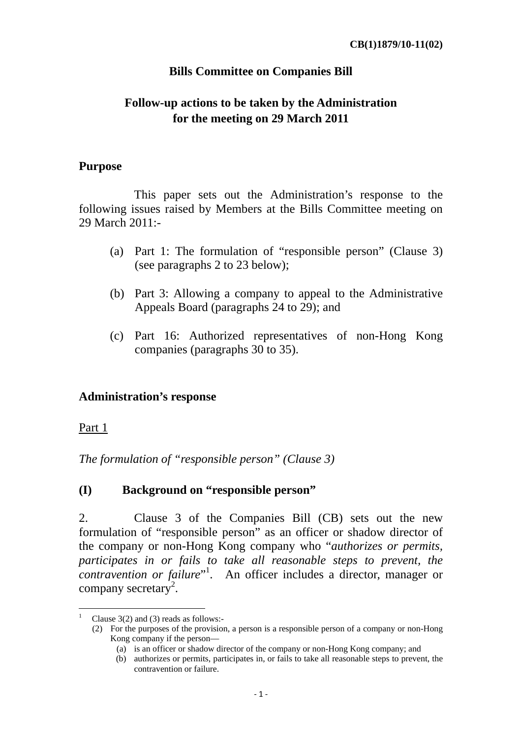#### **Bills Committee on Companies Bill**

# **Follow-up actions to be taken by the Administration for the meeting on 29 March 2011**

#### **Purpose**

This paper sets out the Administration's response to the following issues raised by Members at the Bills Committee meeting on 29 March 2011:-

- (a) Part 1: The formulation of "responsible person" (Clause 3) (see paragraphs 2 to 23 below);
- (b) Part 3: Allowing a company to appeal to the Administrative Appeals Board (paragraphs 24 to 29); and
- (c) Part 16: Authorized representatives of non-Hong Kong companies (paragraphs 30 to 35).

#### **Administration's response**

Part 1

*The formulation of "responsible person" (Clause 3)* 

#### **(I) Background on "responsible person"**

2. Clause 3 of the Companies Bill (CB) sets out the new formulation of "responsible person" as an officer or shadow director of the company or non-Hong Kong company who "*authorizes or permits, participates in or fails to take all reasonable steps to prevent, the contravention or failure*" 1 . An officer includes a director, manager or company secretary<sup>2</sup>.

<sup>1</sup> Clause 3(2) and (3) reads as follows:-

 <sup>(2)</sup> For the purposes of the provision, a person is a responsible person of a company or non-Hong Kong company if the person—

 <sup>(</sup>a) is an officer or shadow director of the company or non-Hong Kong company; and

 <sup>(</sup>b) authorizes or permits, participates in, or fails to take all reasonable steps to prevent, the contravention or failure.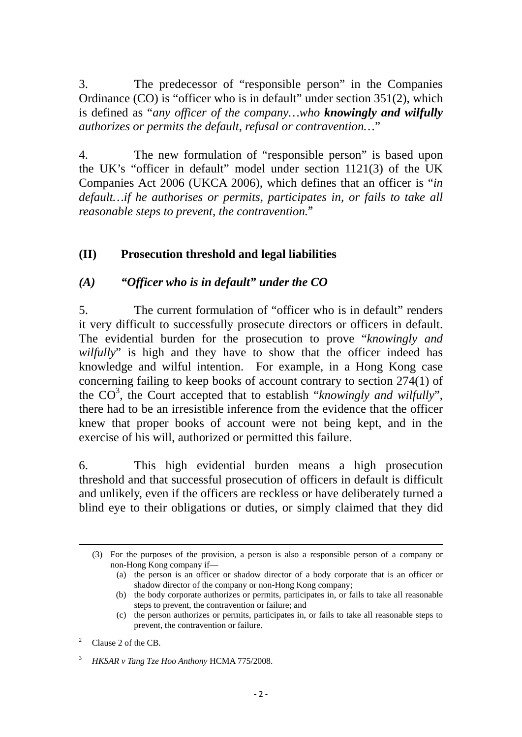3. The predecessor of "responsible person" in the Companies Ordinance (CO) is "officer who is in default" under section 351(2), which is defined as "*any officer of the company…who knowingly and wilfully authorizes or permits the default, refusal or contravention…*"

4. The new formulation of "responsible person" is based upon the UK's "officer in default" model under section 1121(3) of the UK Companies Act 2006 (UKCA 2006), which defines that an officer is "*in default…if he authorises or permits, participates in, or fails to take all reasonable steps to prevent, the contravention.*"

# **(II) Prosecution threshold and legal liabilities**

## *(A) "Officer who is in default" under the CO*

5. The current formulation of "officer who is in default" renders it very difficult to successfully prosecute directors or officers in default. The evidential burden for the prosecution to prove "*knowingly and wilfully*" is high and they have to show that the officer indeed has knowledge and wilful intention. For example, in a Hong Kong case concerning failing to keep books of account contrary to section 274(1) of the CO<sup>3</sup> , the Court accepted that to establish "*knowingly and wilfully*", there had to be an irresistible inference from the evidence that the officer knew that proper books of account were not being kept, and in the exercise of his will, authorized or permitted this failure.

6. This high evidential burden means a high prosecution threshold and that successful prosecution of officers in default is difficult and unlikely, even if the officers are reckless or have deliberately turned a blind eye to their obligations or duties, or simply claimed that they did

<u> 1989 - Johann Barbara, marka a shekara tsa na shekara tsa na shekara tsa 1989 a tsa na shekara tsa 1989. N</u>

 <sup>(3)</sup> For the purposes of the provision, a person is also a responsible person of a company or non-Hong Kong company if—

 <sup>(</sup>a) the person is an officer or shadow director of a body corporate that is an officer or shadow director of the company or non-Hong Kong company;

 <sup>(</sup>b) the body corporate authorizes or permits, participates in, or fails to take all reasonable steps to prevent, the contravention or failure; and

 <sup>(</sup>c) the person authorizes or permits, participates in, or fails to take all reasonable steps to prevent, the contravention or failure.

<sup>2</sup> Clause 2 of the CB.

<sup>3</sup> *HKSAR v Tang Tze Hoo Anthony* HCMA 775/2008.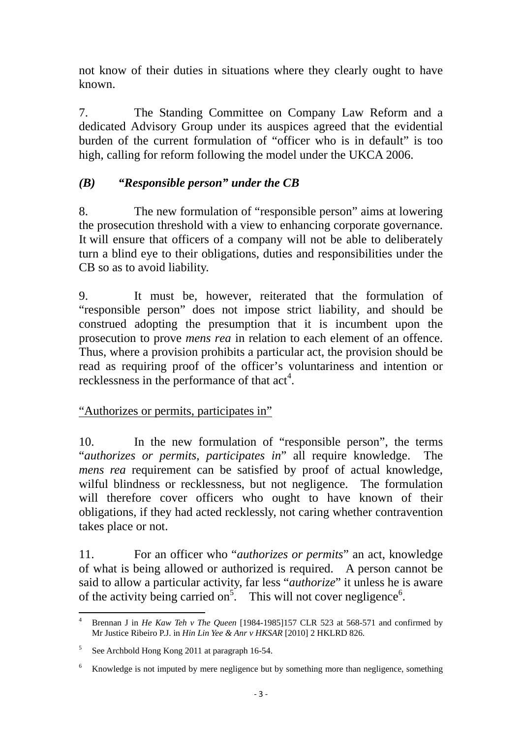not know of their duties in situations where they clearly ought to have known.

7. The Standing Committee on Company Law Reform and a dedicated Advisory Group under its auspices agreed that the evidential burden of the current formulation of "officer who is in default" is too high, calling for reform following the model under the UKCA 2006.

# *(B) "Responsible person" under the CB*

8. The new formulation of "responsible person" aims at lowering the prosecution threshold with a view to enhancing corporate governance. It will ensure that officers of a company will not be able to deliberately turn a blind eye to their obligations, duties and responsibilities under the CB so as to avoid liability.

9. It must be, however, reiterated that the formulation of "responsible person" does not impose strict liability, and should be construed adopting the presumption that it is incumbent upon the prosecution to prove *mens rea* in relation to each element of an offence. Thus, where a provision prohibits a particular act, the provision should be read as requiring proof of the officer's voluntariness and intention or recklessness in the performance of that  $act<sup>4</sup>$ .

# "Authorizes or permits, participates in"

10. In the new formulation of "responsible person", the terms "*authorizes or permits, participates in*" all require knowledge. The *mens rea* requirement can be satisfied by proof of actual knowledge, wilful blindness or recklessness, but not negligence. The formulation will therefore cover officers who ought to have known of their obligations, if they had acted recklessly, not caring whether contravention takes place or not.

11. For an officer who "*authorizes or permits*" an act, knowledge of what is being allowed or authorized is required. A person cannot be said to allow a particular activity, far less "*authorize*" it unless he is aware of the activity being carried on<sup>5</sup>. This will not cover negligence<sup>6</sup>.

 4 Brennan J in *He Kaw Teh v The Queen* [1984-1985]157 CLR 523 at 568-571 and confirmed by Mr Justice Ribeiro P.J. in *Hin Lin Yee & Anr v HKSAR* [2010] 2 HKLRD 826.

<sup>&</sup>lt;sup>5</sup> See Archbold Hong Kong 2011 at paragraph 16-54.

<sup>6</sup> Knowledge is not imputed by mere negligence but by something more than negligence, something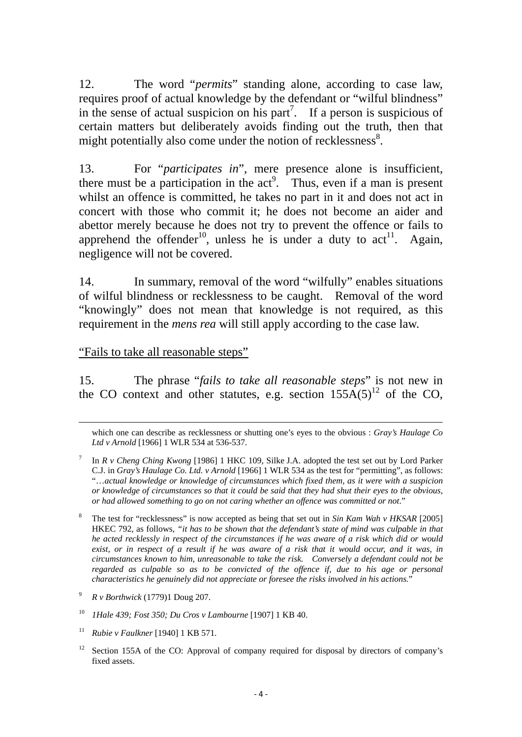12. The word "*permits*" standing alone, according to case law, requires proof of actual knowledge by the defendant or "wilful blindness" in the sense of actual suspicion on his part<sup>7</sup>. If a person is suspicious of certain matters but deliberately avoids finding out the truth, then that might potentially also come under the notion of recklessness<sup>8</sup>.

13. For "*participates in*", mere presence alone is insufficient, there must be a participation in the  $act<sup>9</sup>$ . Thus, even if a man is present whilst an offence is committed, he takes no part in it and does not act in concert with those who commit it; he does not become an aider and abettor merely because he does not try to prevent the offence or fails to apprehend the offender<sup>10</sup>, unless he is under a duty to act<sup>11</sup>. Again, negligence will not be covered.

14. In summary, removal of the word "wilfully" enables situations of wilful blindness or recklessness to be caught. Removal of the word "knowingly" does not mean that knowledge is not required, as this requirement in the *mens rea* will still apply according to the case law.

#### "Fails to take all reasonable steps"

15. The phrase "*fails to take all reasonable steps*" is not new in the CO context and other statutes, e.g. section  $155A(5)^{12}$  of the CO,

<u> 1989 - Johann Barbara, marka a shekara tsa na shekara tsa na shekara tsa 1989 a tsa na shekara tsa 1989. N</u>

11 *Rubie v Faulkner* [1940] 1 KB 571.

which one can describe as recklessness or shutting one's eyes to the obvious : *Gray's Haulage Co Ltd v Arnold* [1966] 1 WLR 534 at 536-537.

<sup>7</sup>In *R v Cheng Ching Kwong* [1986] 1 HKC 109, Silke J.A. adopted the test set out by Lord Parker C.J. in *Gray's Haulage Co. Ltd. v Arnold* [1966] 1 WLR 534 as the test for "permitting", as follows: "…*actual knowledge or knowledge of circumstances which fixed them, as it were with a suspicion or knowledge of circumstances so that it could be said that they had shut their eyes to the obvious, or had allowed something to go on not caring whether an offence was committed or not*."

<sup>8</sup> The test for "recklessness" is now accepted as being that set out in *Sin Kam Wah v HKSAR* [2005] HKEC 792, as follows, *"it has to be shown that the defendant's state of mind was culpable in that he acted recklessly in respect of the circumstances if he was aware of a risk which did or would exist, or in respect of a result if he was aware of a risk that it would occur, and it was, in circumstances known to him, unreasonable to take the risk. Conversely a defendant could not be regarded as culpable so as to be convicted of the offence if, due to his age or personal characteristics he genuinely did not appreciate or foresee the risks involved in his actions.*"

<sup>9</sup> *R v Borthwick* (1779)1 Doug 207.

<sup>10</sup> *1Hale 439; Fost 350; Du Cros v Lambourne* [1907] 1 KB 40.

<sup>&</sup>lt;sup>12</sup> Section 155A of the CO: Approval of company required for disposal by directors of company's fixed assets.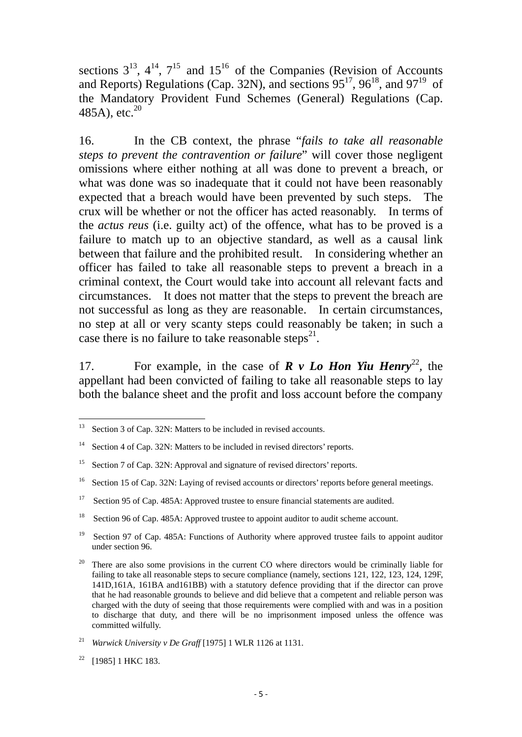sections  $3^{13}$ ,  $4^{14}$ ,  $7^{15}$  and  $15^{16}$  of the Companies (Revision of Accounts and Reports) Regulations (Cap. 32N), and sections  $95^{17}$ ,  $96^{18}$ , and  $97^{19}$  of the Mandatory Provident Fund Schemes (General) Regulations (Cap. 485A), etc. $^{20}$ 

16. In the CB context, the phrase "*fails to take all reasonable steps to prevent the contravention or failure*" will cover those negligent omissions where either nothing at all was done to prevent a breach, or what was done was so inadequate that it could not have been reasonably expected that a breach would have been prevented by such steps. The crux will be whether or not the officer has acted reasonably. In terms of the *actus reus* (i.e. guilty act) of the offence, what has to be proved is a failure to match up to an objective standard, as well as a causal link between that failure and the prohibited result. In considering whether an officer has failed to take all reasonable steps to prevent a breach in a criminal context, the Court would take into account all relevant facts and circumstances. It does not matter that the steps to prevent the breach are not successful as long as they are reasonable. In certain circumstances, no step at all or very scanty steps could reasonably be taken; in such a case there is no failure to take reasonable steps<sup>21</sup>.

17. For example, in the case of  $\mathbf{R} \times \mathbf{L}$  **Hon Yiu Henry**<sup>22</sup>, the appellant had been convicted of failing to take all reasonable steps to lay both the balance sheet and the profit and loss account before the company

<sup>&</sup>lt;sup>13</sup> Section 3 of Cap. 32N: Matters to be included in revised accounts.

<sup>&</sup>lt;sup>14</sup> Section 4 of Cap. 32N: Matters to be included in revised directors' reports.

<sup>&</sup>lt;sup>15</sup> Section 7 of Cap. 32N: Approval and signature of revised directors' reports.

<sup>&</sup>lt;sup>16</sup> Section 15 of Cap. 32N: Laying of revised accounts or directors' reports before general meetings.

<sup>&</sup>lt;sup>17</sup> Section 95 of Cap. 485A: Approved trustee to ensure financial statements are audited.

<sup>&</sup>lt;sup>18</sup> Section 96 of Cap. 485A: Approved trustee to appoint auditor to audit scheme account.

<sup>&</sup>lt;sup>19</sup> Section 97 of Cap. 485A: Functions of Authority where approved trustee fails to appoint auditor under section 96.

 $20$  There are also some provisions in the current CO where directors would be criminally liable for failing to take all reasonable steps to secure compliance (namely, sections 121, 122, 123, 124, 129F, 141D,161A, 161BA and161BB) with a statutory defence providing that if the director can prove that he had reasonable grounds to believe and did believe that a competent and reliable person was charged with the duty of seeing that those requirements were complied with and was in a position to discharge that duty, and there will be no imprisonment imposed unless the offence was committed wilfully.

<sup>21</sup> *Warwick University v De Graff* [1975] 1 WLR 1126 at 1131.

<sup>&</sup>lt;sup>22</sup> [1985] 1 HKC 183.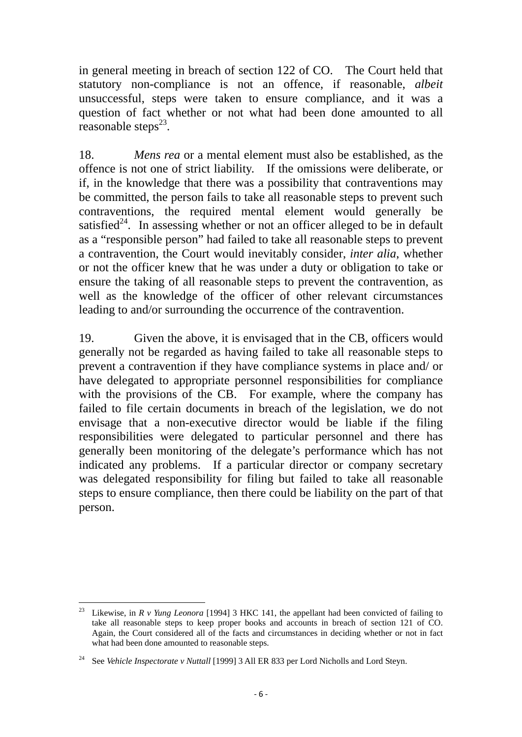in general meeting in breach of section 122 of CO. The Court held that statutory non-compliance is not an offence, if reasonable, *albeit*  unsuccessful, steps were taken to ensure compliance, and it was a question of fact whether or not what had been done amounted to all reasonable steps $^{23}$ .

18. *Mens rea* or a mental element must also be established, as the offence is not one of strict liability. If the omissions were deliberate, or if, in the knowledge that there was a possibility that contraventions may be committed, the person fails to take all reasonable steps to prevent such contraventions, the required mental element would generally be satisfied $^{24}$ . In assessing whether or not an officer alleged to be in default as a "responsible person" had failed to take all reasonable steps to prevent a contravention, the Court would inevitably consider, *inter alia*, whether or not the officer knew that he was under a duty or obligation to take or ensure the taking of all reasonable steps to prevent the contravention, as well as the knowledge of the officer of other relevant circumstances leading to and/or surrounding the occurrence of the contravention.

19. Given the above, it is envisaged that in the CB, officers would generally not be regarded as having failed to take all reasonable steps to prevent a contravention if they have compliance systems in place and/ or have delegated to appropriate personnel responsibilities for compliance with the provisions of the CB. For example, where the company has failed to file certain documents in breach of the legislation, we do not envisage that a non-executive director would be liable if the filing responsibilities were delegated to particular personnel and there has generally been monitoring of the delegate's performance which has not indicated any problems. If a particular director or company secretary was delegated responsibility for filing but failed to take all reasonable steps to ensure compliance, then there could be liability on the part of that person.

 <sup>23</sup> Likewise, in *R v Yung Leonora* [1994] 3 HKC 141, the appellant had been convicted of failing to take all reasonable steps to keep proper books and accounts in breach of section 121 of CO. Again, the Court considered all of the facts and circumstances in deciding whether or not in fact what had been done amounted to reasonable steps.

<sup>&</sup>lt;sup>24</sup> See *Vehicle Inspectorate v Nuttall* [1999] 3 All ER 833 per Lord Nicholls and Lord Steyn.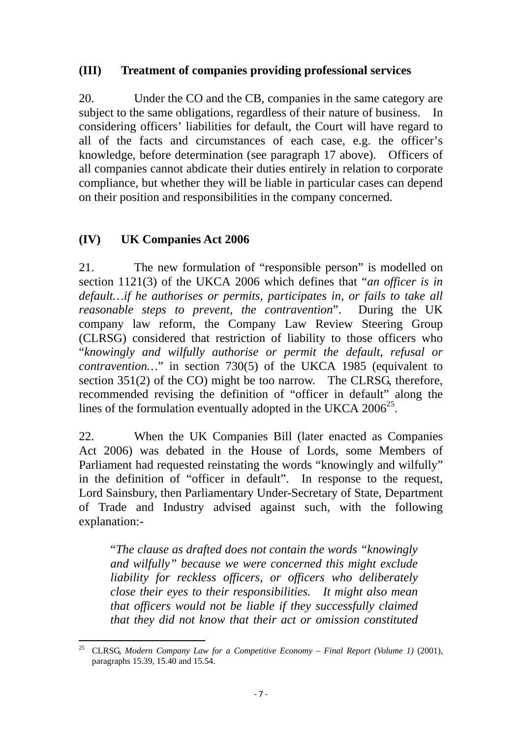## **(III) Treatment of companies providing professional services**

20. Under the CO and the CB, companies in the same category are subject to the same obligations, regardless of their nature of business. In considering officers' liabilities for default, the Court will have regard to all of the facts and circumstances of each case, e.g. the officer's knowledge, before determination (see paragraph 17 above). Officers of all companies cannot abdicate their duties entirely in relation to corporate compliance, but whether they will be liable in particular cases can depend on their position and responsibilities in the company concerned.

## **(IV) UK Companies Act 2006**

21. The new formulation of "responsible person" is modelled on section 1121(3) of the UKCA 2006 which defines that "*an officer is in default…if he authorises or permits, participates in, or fails to take all reasonable steps to prevent, the contravention*". During the UK company law reform, the Company Law Review Steering Group (CLRSG) considered that restriction of liability to those officers who "*knowingly and wilfully authorise or permit the default, refusal or contravention…*" in section 730(5) of the UKCA 1985 (equivalent to section 351(2) of the CO) might be too narrow. The CLRSG, therefore, recommended revising the definition of "officer in default" along the lines of the formulation eventually adopted in the UKCA  $2006^{25}$ .

22. When the UK Companies Bill (later enacted as Companies Act 2006) was debated in the House of Lords, some Members of Parliament had requested reinstating the words "knowingly and wilfully" in the definition of "officer in default". In response to the request, Lord Sainsbury, then Parliamentary Under-Secretary of State, Department of Trade and Industry advised against such, with the following explanation:-

"*The clause as drafted does not contain the words "knowingly and wilfully" because we were concerned this might exclude liability for reckless officers, or officers who deliberately close their eyes to their responsibilities. It might also mean that officers would not be liable if they successfully claimed that they did not know that their act or omission constituted* 

 <sup>25</sup> CLRSG, *Modern Company Law for a Competitive Economy – Final Report (Volume 1)* (2001), paragraphs 15.39, 15.40 and 15.54.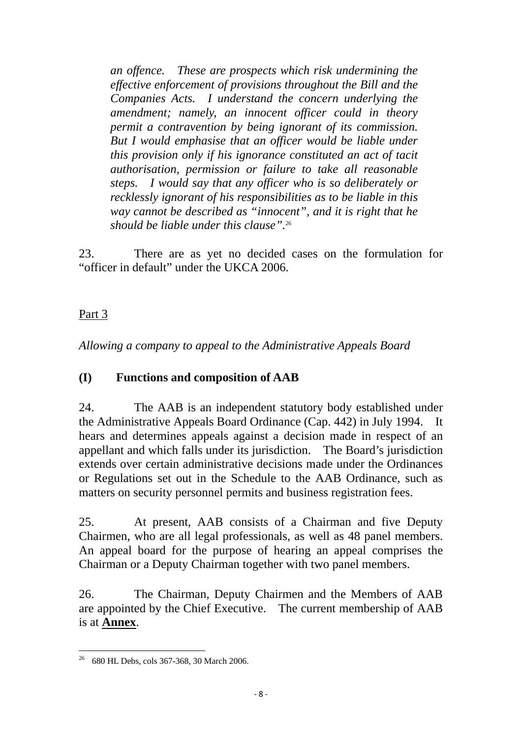*an offence. These are prospects which risk undermining the effective enforcement of provisions throughout the Bill and the Companies Acts. I understand the concern underlying the amendment; namely, an innocent officer could in theory permit a contravention by being ignorant of its commission. But I would emphasise that an officer would be liable under this provision only if his ignorance constituted an act of tacit authorisation, permission or failure to take all reasonable steps. I would say that any officer who is so deliberately or recklessly ignorant of his responsibilities as to be liable in this way cannot be described as "innocent", and it is right that he should be liable under this clause".*<sup>26</sup>

23. There are as yet no decided cases on the formulation for "officer in default" under the UKCA 2006.

# Part 3

*Allowing a company to appeal to the Administrative Appeals Board* 

# **(I) Functions and composition of AAB**

24. The AAB is an independent statutory body established under the Administrative Appeals Board Ordinance (Cap. 442) in July 1994. It hears and determines appeals against a decision made in respect of an appellant and which falls under its jurisdiction. The Board's jurisdiction extends over certain administrative decisions made under the Ordinances or Regulations set out in the Schedule to the AAB Ordinance, such as matters on security personnel permits and business registration fees.

25. At present, AAB consists of a Chairman and five Deputy Chairmen, who are all legal professionals, as well as 48 panel members. An appeal board for the purpose of hearing an appeal comprises the Chairman or a Deputy Chairman together with two panel members.

26. The Chairman, Deputy Chairmen and the Members of AAB are appointed by the Chief Executive. The current membership of AAB is at **Annex**.

 <sup>26</sup> 680 HL Debs, cols 367-368, 30 March 2006.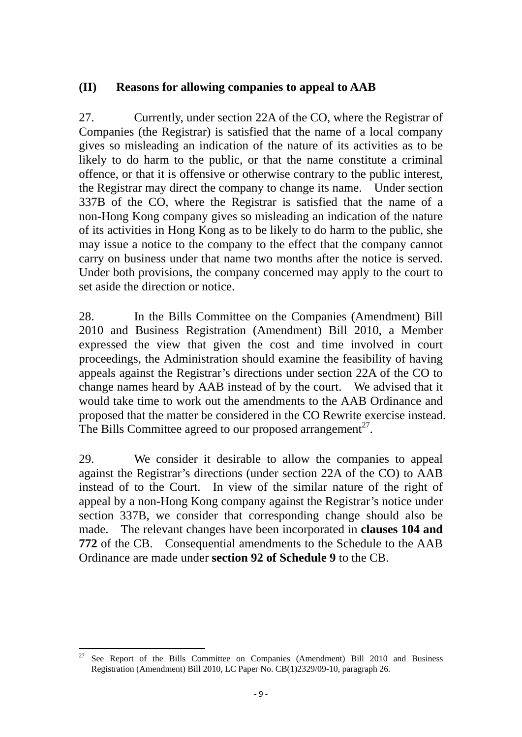## **(II) Reasons for allowing companies to appeal to AAB**

27. Currently, under section 22A of the CO, where the Registrar of Companies (the Registrar) is satisfied that the name of a local company gives so misleading an indication of the nature of its activities as to be likely to do harm to the public, or that the name constitute a criminal offence, or that it is offensive or otherwise contrary to the public interest, the Registrar may direct the company to change its name. Under section 337B of the CO, where the Registrar is satisfied that the name of a non-Hong Kong company gives so misleading an indication of the nature of its activities in Hong Kong as to be likely to do harm to the public, she may issue a notice to the company to the effect that the company cannot carry on business under that name two months after the notice is served. Under both provisions, the company concerned may apply to the court to set aside the direction or notice.

28. In the Bills Committee on the Companies (Amendment) Bill 2010 and Business Registration (Amendment) Bill 2010, a Member expressed the view that given the cost and time involved in court proceedings, the Administration should examine the feasibility of having appeals against the Registrar's directions under section 22A of the CO to change names heard by AAB instead of by the court. We advised that it would take time to work out the amendments to the AAB Ordinance and proposed that the matter be considered in the CO Rewrite exercise instead. The Bills Committee agreed to our proposed arrangement<sup>27</sup>.

29. We consider it desirable to allow the companies to appeal against the Registrar's directions (under section 22A of the CO) to AAB instead of to the Court. In view of the similar nature of the right of appeal by a non-Hong Kong company against the Registrar's notice under section 337B, we consider that corresponding change should also be made. The relevant changes have been incorporated in **clauses 104 and 772** of the CB. Consequential amendments to the Schedule to the AAB Ordinance are made under **section 92 of Schedule 9** to the CB.

 27 See Report of the Bills Committee on Companies (Amendment) Bill 2010 and Business Registration (Amendment) Bill 2010, LC Paper No. CB(1)2329/09-10, paragraph 26.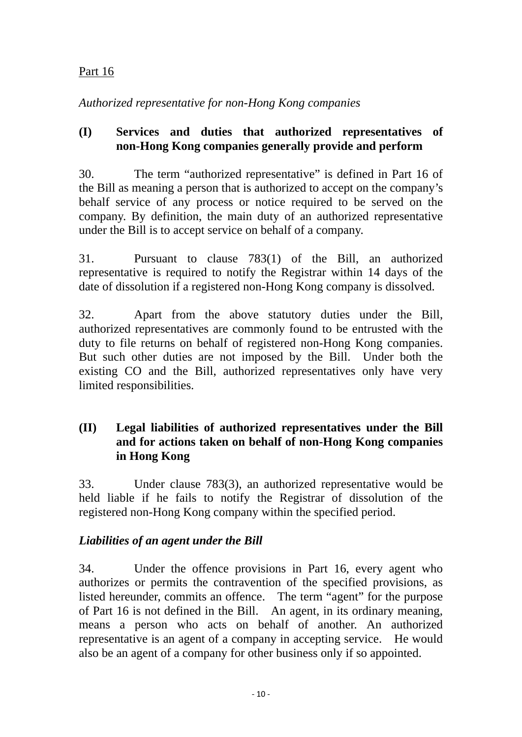# Part 16

*Authorized representative for non-Hong Kong companies* 

## **(I) Services and duties that authorized representatives of non-Hong Kong companies generally provide and perform**

30. The term "authorized representative" is defined in Part 16 of the Bill as meaning a person that is authorized to accept on the company's behalf service of any process or notice required to be served on the company. By definition, the main duty of an authorized representative under the Bill is to accept service on behalf of a company.

31. Pursuant to clause 783(1) of the Bill, an authorized representative is required to notify the Registrar within 14 days of the date of dissolution if a registered non-Hong Kong company is dissolved.

32. Apart from the above statutory duties under the Bill, authorized representatives are commonly found to be entrusted with the duty to file returns on behalf of registered non-Hong Kong companies. But such other duties are not imposed by the Bill. Under both the existing CO and the Bill, authorized representatives only have very limited responsibilities.

# **(II) Legal liabilities of authorized representatives under the Bill and for actions taken on behalf of non-Hong Kong companies in Hong Kong**

33. Under clause 783(3), an authorized representative would be held liable if he fails to notify the Registrar of dissolution of the registered non-Hong Kong company within the specified period.

# *Liabilities of an agent under the Bill*

34. Under the offence provisions in Part 16, every agent who authorizes or permits the contravention of the specified provisions, as listed hereunder, commits an offence. The term "agent" for the purpose of Part 16 is not defined in the Bill. An agent, in its ordinary meaning, means a person who acts on behalf of another. An authorized representative is an agent of a company in accepting service. He would also be an agent of a company for other business only if so appointed.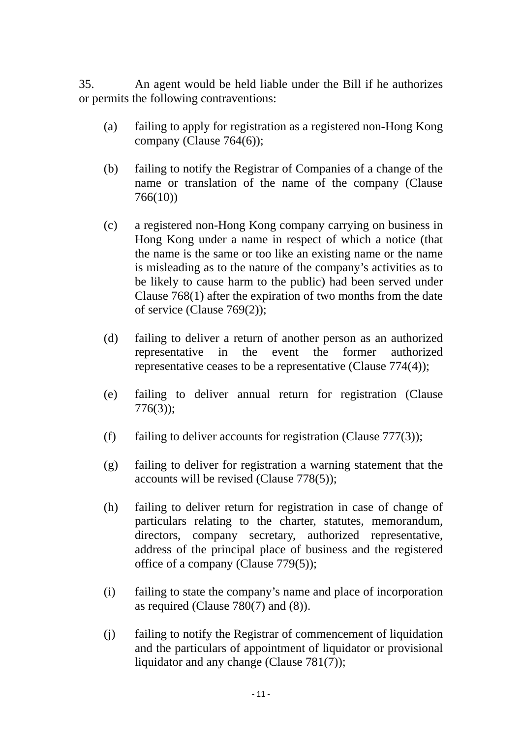35. An agent would be held liable under the Bill if he authorizes or permits the following contraventions:

- (a) failing to apply for registration as a registered non-Hong Kong company (Clause 764(6));
- (b) failing to notify the Registrar of Companies of a change of the name or translation of the name of the company (Clause 766(10))
- (c) a registered non-Hong Kong company carrying on business in Hong Kong under a name in respect of which a notice (that the name is the same or too like an existing name or the name is misleading as to the nature of the company's activities as to be likely to cause harm to the public) had been served under Clause 768(1) after the expiration of two months from the date of service (Clause 769(2));
- (d) failing to deliver a return of another person as an authorized representative in the event the former authorized representative ceases to be a representative (Clause 774(4));
- (e) failing to deliver annual return for registration (Clause 776(3));
- (f) failing to deliver accounts for registration (Clause  $777(3)$ );
- (g) failing to deliver for registration a warning statement that the accounts will be revised (Clause 778(5));
- (h) failing to deliver return for registration in case of change of particulars relating to the charter, statutes, memorandum, directors, company secretary, authorized representative, address of the principal place of business and the registered office of a company (Clause 779(5));
- (i) failing to state the company's name and place of incorporation as required (Clause 780(7) and (8)).
- (j) failing to notify the Registrar of commencement of liquidation and the particulars of appointment of liquidator or provisional liquidator and any change (Clause 781(7));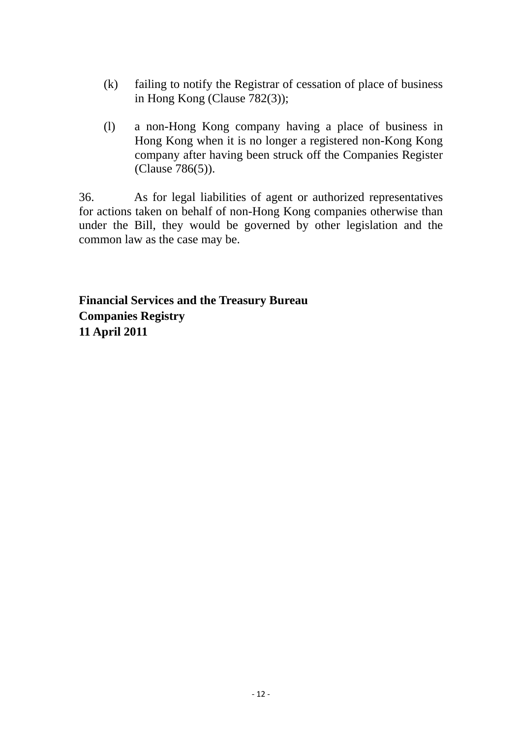- (k) failing to notify the Registrar of cessation of place of business in Hong Kong (Clause 782(3));
- (l) a non-Hong Kong company having a place of business in Hong Kong when it is no longer a registered non-Kong Kong company after having been struck off the Companies Register (Clause 786(5)).

36. As for legal liabilities of agent or authorized representatives for actions taken on behalf of non-Hong Kong companies otherwise than under the Bill, they would be governed by other legislation and the common law as the case may be.

**Financial Services and the Treasury Bureau Companies Registry 11 April 2011**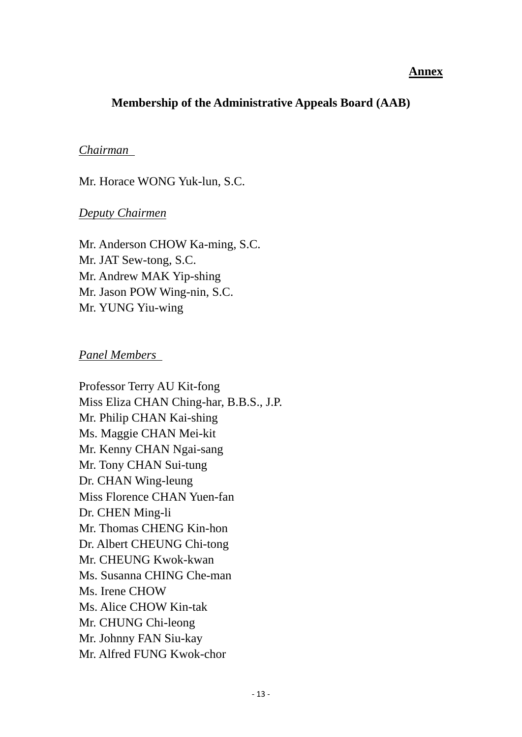#### **Annex**

## **Membership of the Administrative Appeals Board (AAB)**

#### *Chairman*

Mr. Horace WONG Yuk-lun, S.C.

#### *Deputy Chairmen*

Mr. Anderson CHOW Ka-ming, S.C. Mr. JAT Sew-tong, S.C. Mr. Andrew MAK Yip-shing Mr. Jason POW Wing-nin, S.C. Mr. YUNG Yiu-wing

#### *Panel Members*

Professor Terry AU Kit-fong Miss Eliza CHAN Ching-har, B.B.S., J.P. Mr. Philip CHAN Kai-shing Ms. Maggie CHAN Mei-kit Mr. Kenny CHAN Ngai-sang Mr. Tony CHAN Sui-tung Dr. CHAN Wing-leung Miss Florence CHAN Yuen-fan Dr. CHEN Ming-li Mr. Thomas CHENG Kin-hon Dr. Albert CHEUNG Chi-tong Mr. CHEUNG Kwok-kwan Ms. Susanna CHING Che-man Ms. Irene CHOW Ms. Alice CHOW Kin-tak Mr. CHUNG Chi-leong Mr. Johnny FAN Siu-kay Mr. Alfred FUNG Kwok-chor